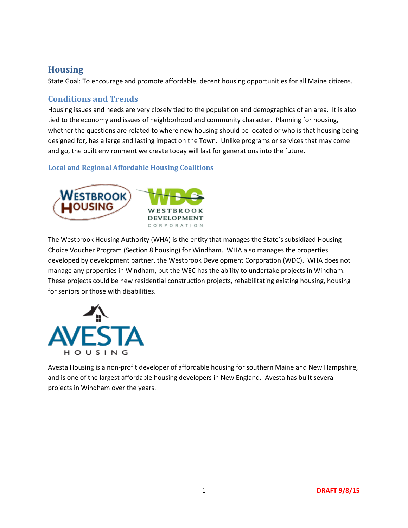# **Housing**

State Goal: To encourage and promote affordable, decent housing opportunities for all Maine citizens.

## **Conditions and Trends**

Housing issues and needs are very closely tied to the population and demographics of an area. It is also tied to the economy and issues of neighborhood and community character. Planning for housing, whether the questions are related to where new housing should be located or who is that housing being designed for, has a large and lasting impact on the Town. Unlike programs or services that may come and go, the built environment we create today will last for generations into the future.

## **Local and Regional Affordable Housing Coalitions**



The Westbrook Housing Authority (WHA) is the entity that manages the State's subsidized Housing Choice Voucher Program (Section 8 housing) for Windham. WHA also manages the properties developed by development partner, the Westbrook Development Corporation (WDC). WHA does not manage any properties in Windham, but the WEC has the ability to undertake projects in Windham. These projects could be new residential construction projects, rehabilitating existing housing, housing for seniors or those with disabilities.



Avesta Housing is a non-profit developer of affordable housing for southern Maine and New Hampshire, and is one of the largest affordable housing developers in New England. Avesta has built several projects in Windham over the years.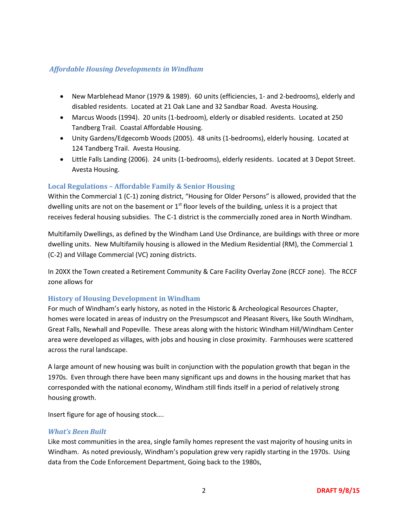#### *Affordable Housing Developments in Windham*

- New Marblehead Manor (1979 & 1989). 60 units (efficiencies, 1- and 2-bedrooms), elderly and disabled residents. Located at 21 Oak Lane and 32 Sandbar Road. Avesta Housing.
- Marcus Woods (1994). 20 units (1-bedroom), elderly or disabled residents. Located at 250 Tandberg Trail. Coastal Affordable Housing.
- Unity Gardens/Edgecomb Woods (2005). 48 units (1-bedrooms), elderly housing. Located at 124 Tandberg Trail. Avesta Housing.
- Little Falls Landing (2006). 24 units (1-bedrooms), elderly residents. Located at 3 Depot Street. Avesta Housing.

## **Local Regulations – Affordable Family & Senior Housing**

Within the Commercial 1 (C-1) zoning district, "Housing for Older Persons" is allowed, provided that the dwelling units are not on the basement or  $1<sup>st</sup>$  floor levels of the building, unless it is a project that receives federal housing subsidies. The C-1 district is the commercially zoned area in North Windham.

Multifamily Dwellings, as defined by the Windham Land Use Ordinance, are buildings with three or more dwelling units. New Multifamily housing is allowed in the Medium Residential (RM), the Commercial 1 (C-2) and Village Commercial (VC) zoning districts.

In 20XX the Town created a Retirement Community & Care Facility Overlay Zone (RCCF zone). The RCCF zone allows for

## **History of Housing Development in Windham**

For much of Windham's early history, as noted in the Historic & Archeological Resources Chapter, homes were located in areas of industry on the Presumpscot and Pleasant Rivers, like South Windham, Great Falls, Newhall and Popeville. These areas along with the historic Windham Hill/Windham Center area were developed as villages, with jobs and housing in close proximity. Farmhouses were scattered across the rural landscape.

A large amount of new housing was built in conjunction with the population growth that began in the 1970s. Even through there have been many significant ups and downs in the housing market that has corresponded with the national economy, Windham still finds itself in a period of relatively strong housing growth.

Insert figure for age of housing stock….

#### *What's Been Built*

Like most communities in the area, single family homes represent the vast majority of housing units in Windham. As noted previously, Windham's population grew very rapidly starting in the 1970s. Using data from the Code Enforcement Department, Going back to the 1980s,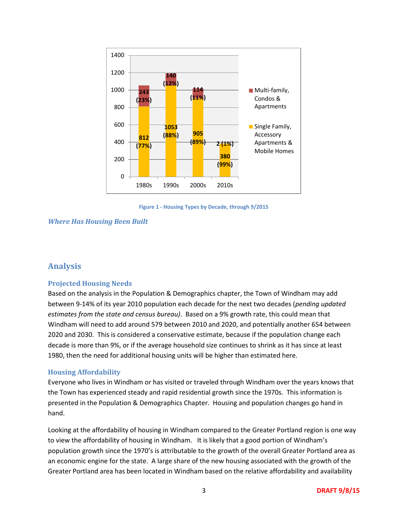

**Figure 1 - Housing Types by Decade, through 9/2015**

#### *Where Has Housing Been Built*

#### **Analysis**

#### **Projected Housing Needs**

Based on the analysis in the Population & Demographics chapter, the Town of Windham may add between 9-14% of its year 2010 population each decade for the next two decades (*pending updated estimates from the state and census bureau)*. Based on a 9% growth rate, this could mean that Windham will need to add around 579 between 2010 and 2020, and potentially another 654 between 2020 and 2030. This is considered a conservative estimate, because if the population change each decade is more than 9%, or if the average household size continues to shrink as it has since at least 1980, then the need for additional housing units will be higher than estimated here.

#### **Housing Affordability**

Everyone who lives in Windham or has visited or traveled through Windham over the years knows that the Town has experienced steady and rapid residential growth since the 1970s. This information is presented in the Population & Demographics Chapter. Housing and population changes go hand in hand.

Looking at the affordability of housing in Windham compared to the Greater Portland region is one way to view the affordability of housing in Windham. It is likely that a good portion of Windham's population growth since the 1970's is attributable to the growth of the overall Greater Portland area as an economic engine for the state. A large share of the new housing associated with the growth of the Greater Portland area has been located in Windham based on the relative affordability and availability